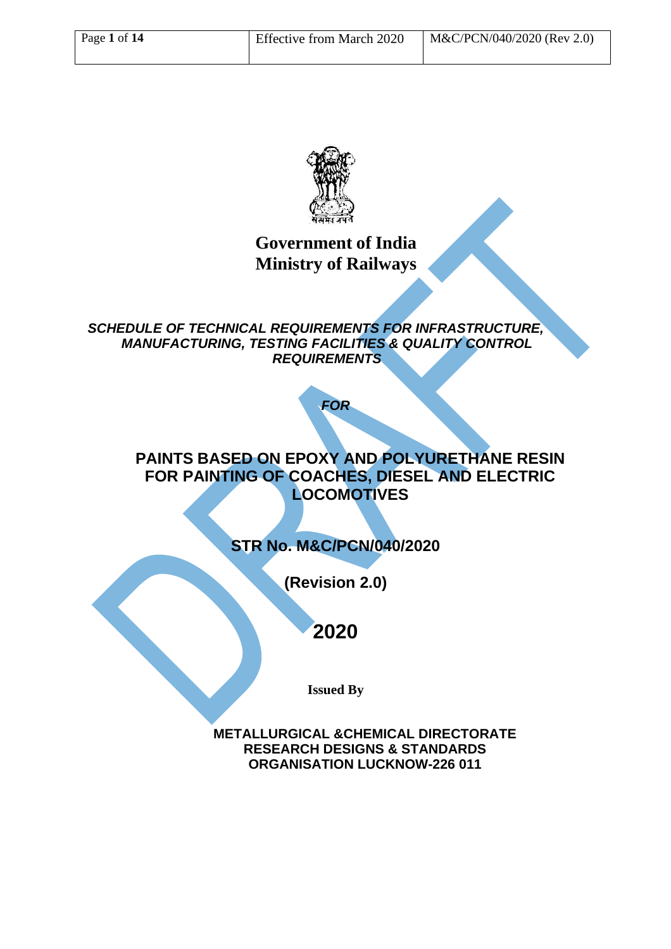

## **Government of India Ministry of Railways**

*SCHEDULE OF TECHNICAL REQUIREMENTS FOR INFRASTRUCTURE, MANUFACTURING, TESTING FACILITIES & QUALITY CONTROL REQUIREMENTS*

*FOR*

### **PAINTS BASED ON EPOXY AND POLYURETHANE RESIN FOR PAINTING OF COACHES, DIESEL AND ELECTRIC LOCOMOTIVES**

## **STR No. M&C/PCN/040/2020**

**(Revision 2.0)**

# **2020**

**Issued By**

**METALLURGICAL &CHEMICAL DIRECTORATE RESEARCH DESIGNS & STANDARDS ORGANISATION LUCKNOW-226 011**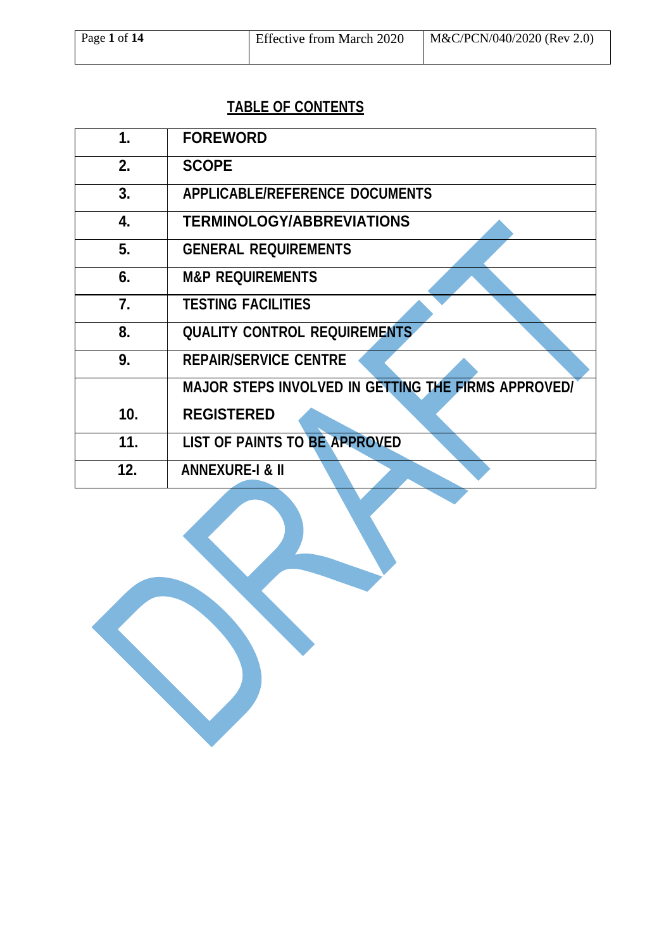# **TABLE OF CONTENTS**

| 1.  | <b>FOREWORD</b>                                     |
|-----|-----------------------------------------------------|
| 2.  | <b>SCOPE</b>                                        |
| 3.  | <b>APPLICABLE/REFERENCE DOCUMENTS</b>               |
| 4.  | <b>TERMINOLOGY/ABBREVIATIONS</b>                    |
| 5.  | <b>GENERAL REQUIREMENTS</b>                         |
| 6.  | <b>M&amp;P REQUIREMENTS</b>                         |
| 7.  | <b>TESTING FACILITIES</b>                           |
| 8.  | <b>QUALITY CONTROL REQUIREMENTS</b>                 |
| 9.  | <b>REPAIR/SERVICE CENTRE</b>                        |
|     | MAJOR STEPS INVOLVED IN GETTING THE FIRMS APPROVED/ |
| 10. | <b>REGISTERED</b>                                   |
| 11. | <b>LIST OF PAINTS TO BE APPROVED</b>                |
| 12. | <b>ANNEXURE-I &amp; II</b>                          |

 $\overline{\phantom{a}}$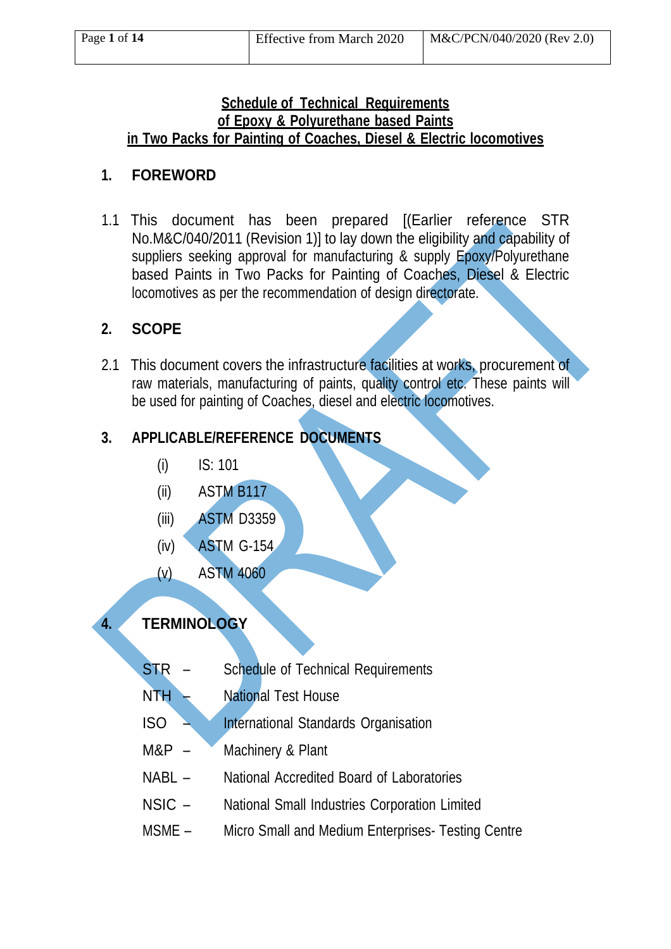#### **Schedule of Technical Requirements of Epoxy & Polyurethane based Paints in Two Packs for Painting of Coaches, Diesel & Electric locomotives**

# **1. FOREWORD**

1.1 This document has been prepared [(Earlier reference STR No.M&C/040/2011 (Revision 1)] to lay down the eligibility and capability of suppliers seeking approval for manufacturing & supply Epoxy/Polyurethane based Paints in Two Packs for Painting of Coaches, Diesel & Electric locomotives as per the recommendation of design directorate.

## **2. SCOPE**

2.1 This document covers the infrastructure facilities at works, procurement of raw materials, manufacturing of paints, quality control etc. These paints will be used for painting of Coaches, diesel and electric locomotives.

# **3. APPLICABLE/REFERENCE DOCUMENTS**

- (i) IS: 101
- (ii) ASTM B117
- (iii) ASTM D3359
- (iv) ASTM G-154
- (v) ASTM 4060

# **4. TERMINOLOGY**

- STR Schedule of Technical Requirements
- NTH National Test House
- ISO International Standards Organisation
- M&P Machinery & Plant
- NABL National Accredited Board of Laboratories
- NSIC National Small Industries Corporation Limited
- MSME Micro Small and Medium Enterprises- Testing Centre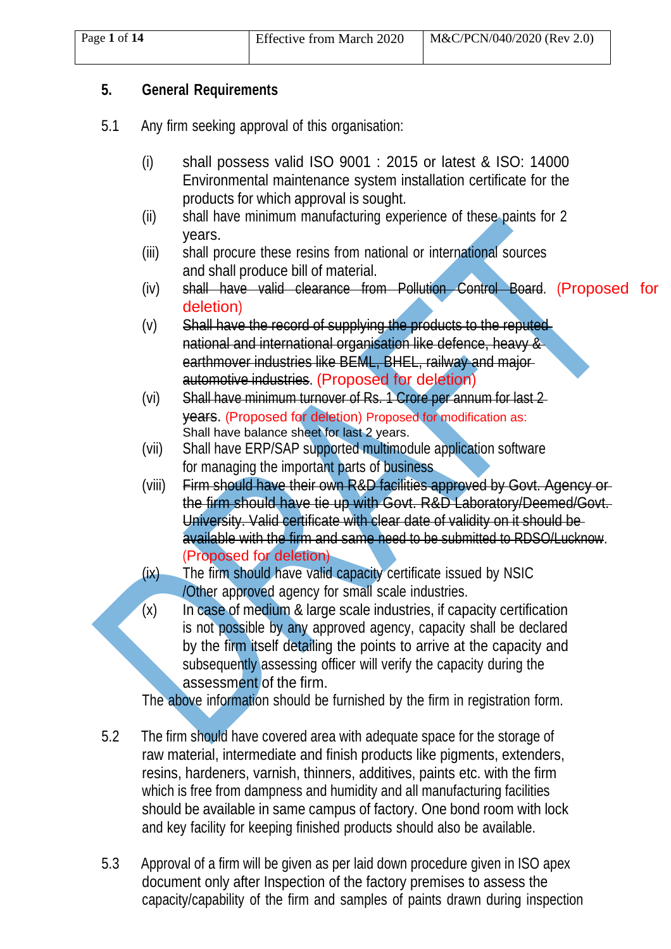#### **5. General Requirements**

- 5.1 Any firm seeking approval of this organisation:
	- (i) shall possess valid ISO 9001 : 2015 or latest & ISO: 14000 Environmental maintenance system installation certificate for the products for which approval is sought.
	- (ii) shall have minimum manufacturing experience of these paints for 2 years.
	- (iii) shall procure these resins from national or international sources and shall produce bill of material.
	- (iv) shall have valid clearance from Pollution Control Board. (Proposed for deletion)
	- $(v)$  Shall have the record of supplying the products to the reputed national and international organisation like defence, heavy & earthmover industries like BEML, BHEL, railway and majorautomotive industries. (Proposed for deletion)
	- (vi) Shall have minimum turnover of Rs. 1 Crore per annum for last 2 years. (Proposed for deletion) Proposed for modification as: Shall have balance sheet for last 2 years.
	- (vii) Shall have ERP/SAP supported multimodule application software for managing the important parts of business
	- (viii) Firm should have their own R&D facilities approved by Govt. Agency or the firm should have tie up with Govt. R&D Laboratory/Deemed/Govt. University. Valid certificate with clear date of validity on it should be available with the firm and same need to be submitted to RDSO/Lucknow. (Proposed for deletion)
	- (ix) The firm should have valid capacity certificate issued by NSIC /Other approved agency for small scale industries.
	- $(x)$  In case of medium & large scale industries, if capacity certification is not possible by any approved agency, capacity shall be declared by the firm itself detailing the points to arrive at the capacity and subsequently assessing officer will verify the capacity during the assessment of the firm.

The above information should be furnished by the firm in registration form.

- 5.2 The firm should have covered area with adequate space for the storage of raw material, intermediate and finish products like pigments, extenders, resins, hardeners, varnish, thinners, additives, paints etc. with the firm which is free from dampness and humidity and all manufacturing facilities should be available in same campus of factory. One bond room with lock and key facility for keeping finished products should also be available.
- 5.3 Approval of a firm will be given as per laid down procedure given in ISO apex document only after Inspection of the factory premises to assess the capacity/capability of the firm and samples of paints drawn during inspection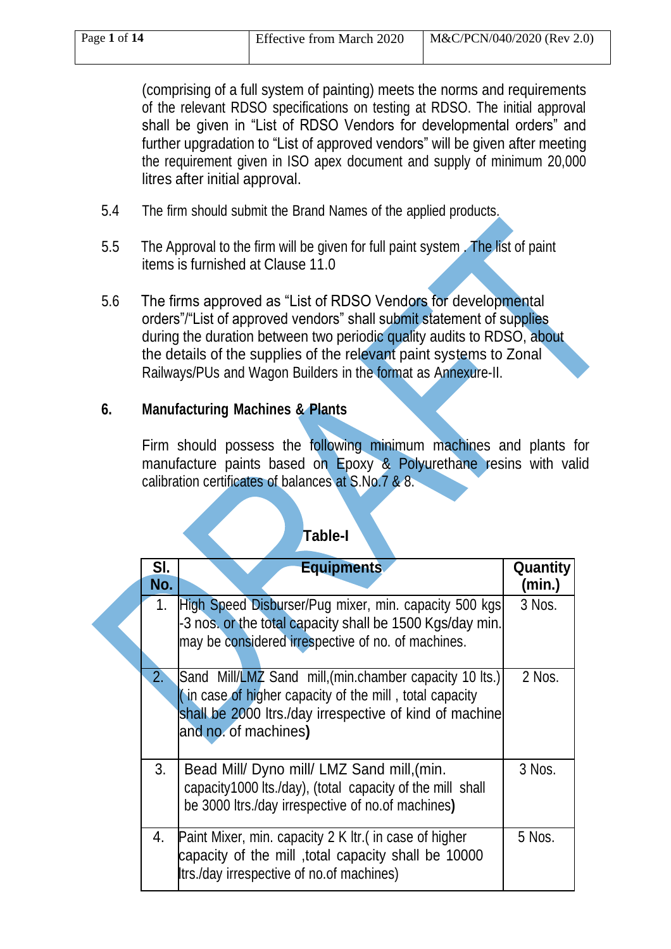(comprising of a full system of painting) meets the norms and requirements of the relevant RDSO specifications on testing at RDSO. The initial approval shall be given in "List of RDSO Vendors for developmental orders" and further upgradation to "List of approved vendors" will be given after meeting the requirement given in ISO apex document and supply of minimum 20,000 litres after initial approval.

- 5.4 The firm should submit the Brand Names of the applied products.
- 5.5 The Approval to the firm will be given for full paint system . The list of paint items is furnished at Clause 11.0
- 5.6 The firms approved as "List of RDSO Vendors for developmental orders"/"List of approved vendors" shall submit statement of supplies during the duration between two periodic quality audits to RDSO, about the details of the supplies of the relevant paint systems to Zonal Railways/PUs and Wagon Builders in the format as Annexure-II.

### **6. Manufacturing Machines & Plants**

Firm should possess the following minimum machines and plants for manufacture paints based on Epoxy & Polyurethane resins with valid calibration certificates of balances at S.No.7 & 8.

#### **Table-I**

| SI.            | <b>Equipments</b>                                                       | Quantity |
|----------------|-------------------------------------------------------------------------|----------|
| No.            |                                                                         | (min.)   |
| 1.             | High Speed Disburser/Pug mixer, min. capacity 500 kgs                   | 3 Nos.   |
|                | -3 nos. or the total capacity shall be 1500 Kgs/day min.                |          |
|                | may be considered irrespective of no. of machines.                      |          |
| 2.             | Sand Mill/LMZ Sand mill, (min.chamber capacity 10 lts.)                 | 2 Nos.   |
|                | $\left  \right $ in case of higher capacity of the mill, total capacity |          |
|                | shall be 2000 ltrs./day irrespective of kind of machine                 |          |
|                | and no. of machines)                                                    |          |
| 3 <sub>1</sub> | Bead Mill/ Dyno mill/ LMZ Sand mill, (min.                              | 3 Nos.   |
|                | capacity1000 lts./day), (total capacity of the mill shall               |          |
|                | be 3000 ltrs./day irrespective of no.of machines)                       |          |
| 4.             | Paint Mixer, min. capacity 2 K ltr. (in case of higher                  | 5 Nos.   |
|                | capacity of the mill, total capacity shall be 10000                     |          |
|                | Itrs./day irrespective of no.of machines)                               |          |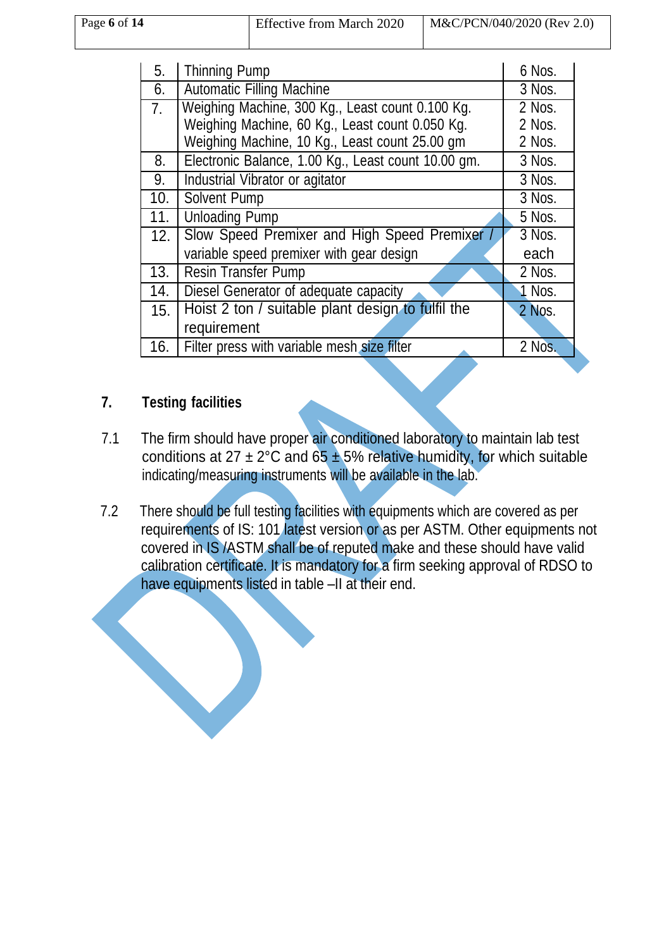| Page $6$ of $14$ | <b>Effective from March 2020</b> | M&C/PCN/040/2020 (Rev 2.0) |
|------------------|----------------------------------|----------------------------|
|                  |                                  |                            |

| 5.             | Thinning Pump                                       | 6 Nos.               |
|----------------|-----------------------------------------------------|----------------------|
| 6.             | <b>Automatic Filling Machine</b>                    | 3 Nos.               |
| 7 <sub>1</sub> | Weighing Machine, 300 Kg., Least count 0.100 Kg.    | 2 Nos.               |
|                | Weighing Machine, 60 Kg., Least count 0.050 Kg.     | 2 Nos.               |
|                | Weighing Machine, 10 Kg., Least count 25.00 gm      | 2 Nos.               |
| 8.             | Electronic Balance, 1.00 Kg., Least count 10.00 gm. | 3 Nos.               |
| 9.             | Industrial Vibrator or agitator                     | 3 Nos.               |
| 10.            | <b>Solvent Pump</b>                                 | 3 Nos.               |
| 11.            | <b>Unloading Pump</b>                               | 5 Nos.               |
| 12.            | Slow Speed Premixer and High Speed Premixer /       | 3 Nos.               |
|                | variable speed premixer with gear design            | each                 |
| 13.            | <b>Resin Transfer Pump</b>                          | 2 Nos.               |
| 14.            | Diesel Generator of adequate capacity               | $\triangleleft$ Nos. |
| 15.            | Hoist 2 ton / suitable plant design to fulfil the   | 2 Nos.               |
|                | requirement                                         |                      |
| 16.            | Filter press with variable mesh size filter         | 2 Nos.               |

#### **7. Testing facilities**

- 7.1 The firm should have proper air conditioned laboratory to maintain lab test conditions at  $27 \pm 2^{\circ}$ C and  $65 \pm 5%$  relative humidity, for which suitable indicating/measuring instruments will be available in the lab.
- 7.2 There should be full testing facilities with equipments which are covered as per requirements of IS: 101 latest version or as per ASTM. Other equipments not covered in IS /ASTM shall be of reputed make and these should have valid calibration certificate. It is mandatory for a firm seeking approval of RDSO to have equipments listed in table –II at their end.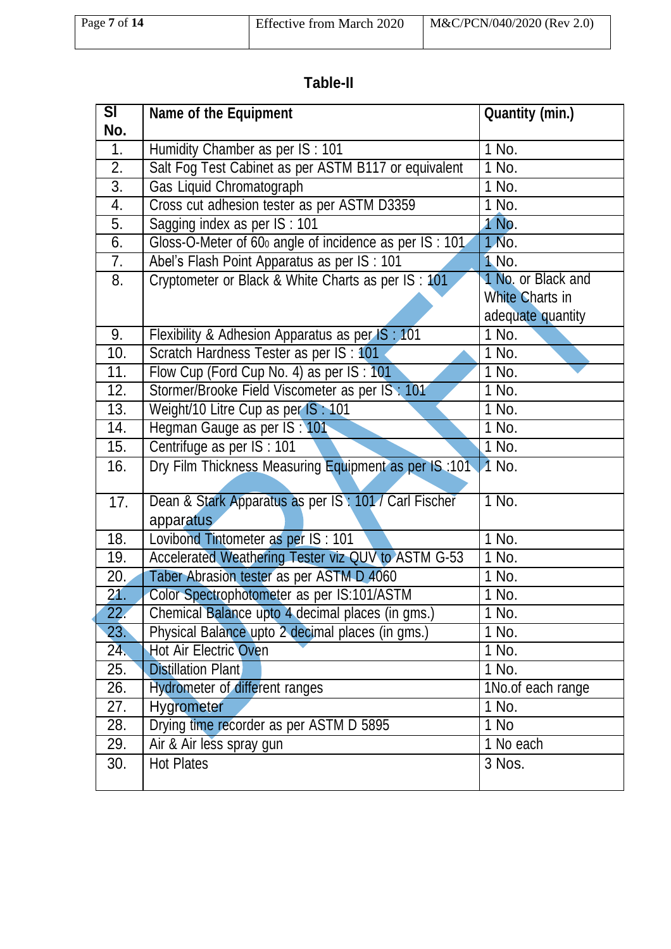# **Table-II**

| SI                | Name of the Equipment                                               | <b>Quantity (min.)</b> |
|-------------------|---------------------------------------------------------------------|------------------------|
| No.               |                                                                     |                        |
| 1.                | Humidity Chamber as per IS: 101                                     | 1 No.                  |
| $\overline{2}$ .  | Salt Fog Test Cabinet as per ASTM B117 or equivalent                | 1 No.                  |
| $\overline{3}$ .  | Gas Liquid Chromatograph                                            | $\overline{1}$ No.     |
| 4.                | Cross cut adhesion tester as per ASTM D3359                         | 1 No.                  |
| 5.                | Sagging index as per IS: 101                                        | 1 No.                  |
| 6.                | Gloss-O-Meter of 60 <sub>0</sub> angle of incidence as per IS : 101 | 1 No.                  |
| 7.                | Abel's Flash Point Apparatus as per IS : 101                        | 1 No.                  |
| 8.                | Cryptometer or Black & White Charts as per IS : 101                 | 1 No. or Black and     |
|                   |                                                                     | <b>White Charts in</b> |
|                   |                                                                     | adequate quantity      |
| 9.                | Flexibility & Adhesion Apparatus as per IS: 101                     | 1 No.                  |
| 10.               | Scratch Hardness Tester as per IS : 101                             | 1 No.                  |
| 11.               | Flow Cup (Ford Cup No. 4) as per IS: 101                            | $1$ No.                |
| 12.               | Stormer/Brooke Field Viscometer as per IS : 101                     | 1 No.                  |
| 13.               | Weight/10 Litre Cup as per IS: 101                                  | 1 No.                  |
| 14.               | Hegman Gauge as per IS : 101                                        | 1 No.                  |
| 15.               | Centrifuge as per IS : 101                                          | 1 No.                  |
| 16.               | Dry Film Thickness Measuring Equipment as per IS:101 1 No.          |                        |
|                   |                                                                     |                        |
| 17.               | Dean & Stark Apparatus as per IS: 101/ Carl Fischer                 | 1 No.                  |
|                   | apparatus                                                           |                        |
| 18.               | Lovibond Tintometer as per IS: 101                                  | 1 No.                  |
| 19.               | Accelerated Weathering Tester viz QUV to ASTM G-53                  | 1 No.                  |
| $\overline{2}0$ . | Taber Abrasion tester as per ASTM D 4060                            | 1 No.                  |
| 21.               | Color Spectrophotometer as per IS:101/ASTM                          | 1 No.                  |
| 22.               | Chemical Balance upto 4 decimal places (in gms.)                    | 1 No.                  |
| 23.               | Physical Balance upto 2 decimal places (in gms.)                    | $\overline{1}$ No.     |
| 24.               | Hot Air Electric Oven                                               | 1 No.                  |
| 25.               | <b>Distillation Plant</b>                                           | 1 No.                  |
| 26.               | Hydrometer of different ranges                                      | 1No.of each range      |
| 27.               | <b>Hygrometer</b>                                                   | 1 No.                  |
| 28.               | Drying time recorder as per ASTM D 5895                             | 1 No                   |
| 29.               | Air & Air less spray gun                                            | 1 No each              |
| 30.               | <b>Hot Plates</b>                                                   | 3 Nos.                 |
|                   |                                                                     |                        |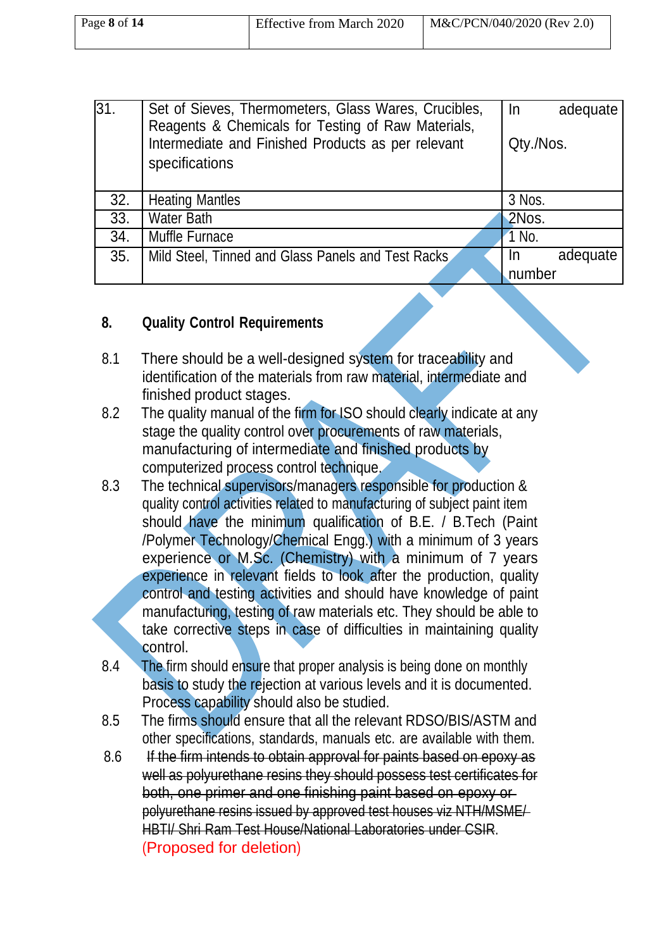| Page 8 of 14 | <b>Effective from March 2020</b> | M&C/PCN/040/2020 (Rev 2.0) |
|--------------|----------------------------------|----------------------------|
|              |                                  |                            |

| 31. | Set of Sieves, Thermometers, Glass Wares, Crucibles,<br>Reagents & Chemicals for Testing of Raw Materials,<br>Intermediate and Finished Products as per relevant<br>specifications | $\ln$<br>adequate<br>Qty./Nos. |
|-----|------------------------------------------------------------------------------------------------------------------------------------------------------------------------------------|--------------------------------|
| 32. | <b>Heating Mantles</b>                                                                                                                                                             | 3 Nos.                         |
| 33. | <b>Water Bath</b>                                                                                                                                                                  | 2Nos.                          |
| 34. | Muffle Furnace                                                                                                                                                                     | 1 No.                          |
| 35. | Mild Steel, Tinned and Glass Panels and Test Racks                                                                                                                                 | adequate<br>In                 |
|     |                                                                                                                                                                                    | number                         |

#### **8. Quality Control Requirements**

- 8.1 There should be a well-designed system for traceability and identification of the materials from raw material, intermediate and finished product stages.
- 8.2 The quality manual of the firm for ISO should clearly indicate at any stage the quality control over procurements of raw materials, manufacturing of intermediate and finished products by computerized process control technique.
- 8.3 The technical supervisors/managers responsible for production & quality control activities related to manufacturing of subject paint item should have the minimum qualification of B.E. / B.Tech (Paint /Polymer Technology/Chemical Engg.) with a minimum of 3 years experience or M.Sc. (Chemistry) with a minimum of 7 years experience in relevant fields to look after the production, quality control and testing activities and should have knowledge of paint manufacturing, testing of raw materials etc. They should be able to take corrective steps in case of difficulties in maintaining quality control.
- 8.4 The firm should ensure that proper analysis is being done on monthly basis to study the rejection at various levels and it is documented. Process capability should also be studied.
- 8.5 The firms should ensure that all the relevant RDSO/BIS/ASTM and other specifications, standards, manuals etc. are available with them.
- 8.6 If the firm intends to obtain approval for paints based on epoxy as well as polyurethane resins they should possess test certificates for both, one primer and one finishing paint based on epoxy or polyurethane resins issued by approved test houses viz NTH/MSME/ HBTI/ Shri Ram Test House/National Laboratories under CSIR. (Proposed for deletion)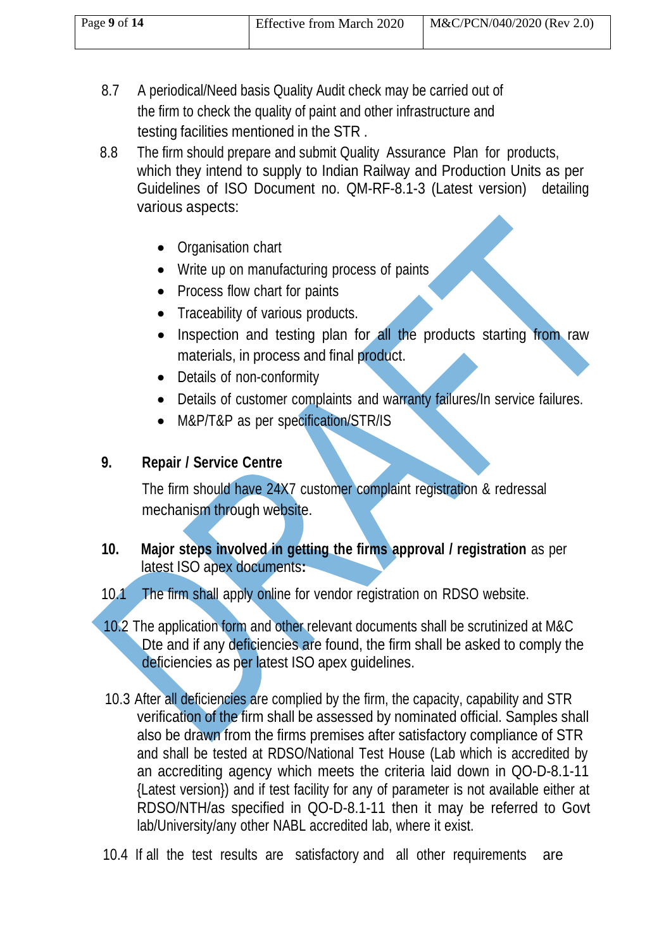| Page 9 of 14 | <b>Effective from March 2020</b> | $M&C/PCN/040/2020$ (Rev 2.0) |
|--------------|----------------------------------|------------------------------|
|              |                                  |                              |

- 8.7 A periodical/Need basis Quality Audit check may be carried out of the firm to check the quality of paint and other infrastructure and testing facilities mentioned in the STR .
- 8.8 The firm should prepare and submit Quality Assurance Plan for products, which they intend to supply to Indian Railway and Production Units as per Guidelines of ISO Document no. QM-RF-8.1-3 (Latest version) detailing various aspects:
	- Organisation chart
	- Write up on manufacturing process of paints
	- Process flow chart for paints
	- Traceability of various products.
	- Inspection and testing plan for all the products starting from raw materials, in process and final product.
	- Details of non-conformity
	- Details of customer complaints and warranty failures/In service failures.
	- M&P/T&P as per specification/STR/IS

### **9. Repair / Service Centre**

The firm should have 24X7 customer complaint registration & redressal mechanism through website.

- **10. Major steps involved in getting the firms approval / registration** as per latest ISO apex documents**:**
- 10.1 The firm shall apply online for vendor registration on RDSO website.
- 10.2 The application form and other relevant documents shall be scrutinized at M&C Dte and if any deficiencies are found, the firm shall be asked to comply the deficiencies as per latest ISO apex guidelines.
- 10.3 After all deficiencies are complied by the firm, the capacity, capability and STR verification of the firm shall be assessed by nominated official. Samples shall also be drawn from the firms premises after satisfactory compliance of STR and shall be tested at RDSO/National Test House (Lab which is accredited by an accrediting agency which meets the criteria laid down in QO-D-8.1-11 {Latest version}) and if test facility for any of parameter is not available either at RDSO/NTH/as specified in QO-D-8.1-11 then it may be referred to Govt lab/University/any other NABL accredited lab, where it exist.
- 10.4 If all the test results are satisfactory and all other requirements are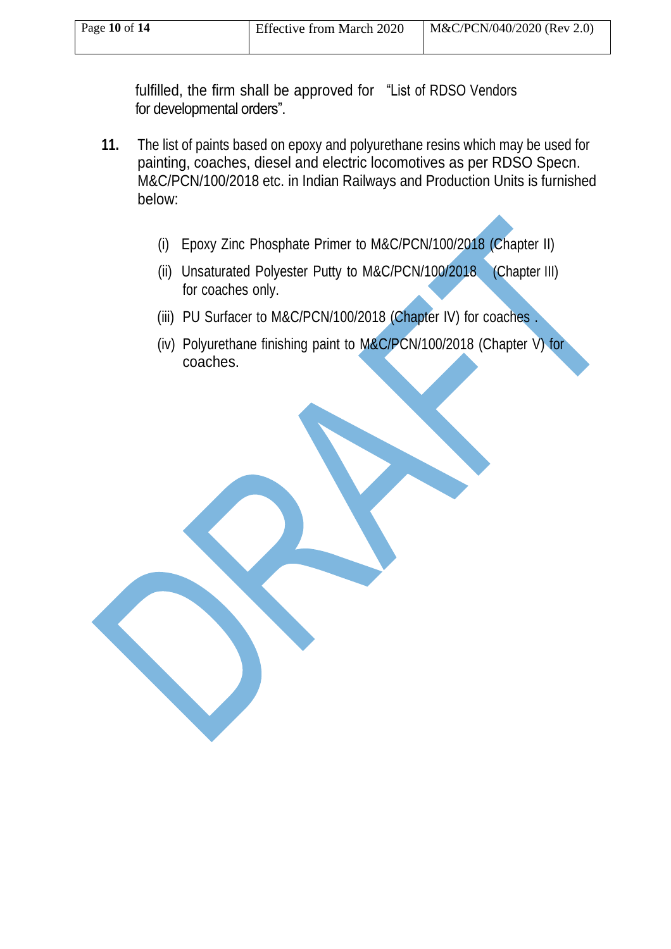fulfilled, the firm shall be approved for "List of RDSO Vendors for developmental orders".

- **11.** The list of paints based on epoxy and polyurethane resins which may be used for painting, coaches, diesel and electric locomotives as per RDSO Specn. M&C/PCN/100/2018 etc. in Indian Railways and Production Units is furnished below:
	- (i) Epoxy Zinc Phosphate Primer to M&C/PCN/100/2018 (Chapter II)
	- (ii) Unsaturated Polyester Putty to M&C/PCN/100/2018 (Chapter III) for coaches only.
	- (iii) PU Surfacer to M&C/PCN/100/2018 (Chapter IV) for coaches .
	- (iv) Polyurethane finishing paint to M&C/PCN/100/2018 (Chapter V) for coaches.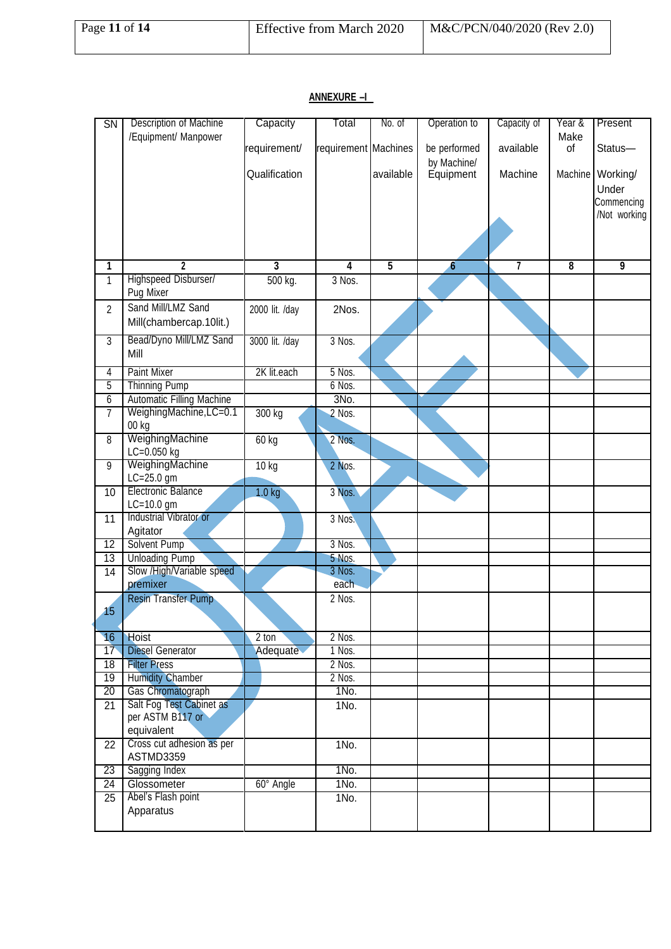#### SN Description of Machine | Capacity | Total | No. of | Operation to | Capacity of | Year & | Present /Equipment/ Manpower requirement/ requirement Machines be performed available Make<br>of Status-Qualification | available by Machine/<br>Equipment Machine | Machine Working/ Under **Commencing** /Not working **1 2 3 4 5 6 7 8 9** 1 Highspeed Disburser/ 1 500 kg. 3 Nos. Pug Mixer 2 Sand Mill/LMZ Sand 2000 lit. /day 2Nos. Mill(chambercap.10lit.) 3 Bead/Dyno Mill/LMZ Sand 3000 lit. /day 3 Nos. Mill 4 Paint Mixer 2K lit.each 5 Nos. 5 Thinning Pump 6 Nos. 6 Automatic Filling Machine **1996** 3No. 7 WeighingMachine, LC=0.1 300 kg 2 Nos. 00 kg 8 WeighingMachine 60 kg 2 Nos. LC=0.050 kg 9 WeighingMachine 10 kg 2 Nos. LC=25.0 gm 10 Electronic Balance 1.0 kg 3 Nos. LC=10.0 gm 11 Industrial Vibrator or 3 Nos. Agitator 12 Solvent Pump 3 Nos. 13 Unloading Pump 5 Nos. 14 Slow /High/Variable speed 3 Nos.<br>
premixer each premixer 15 Resin Transfer Pump 2 Nos. 16 Hoist 2 ton 2 Nos. 17 Diesel Generator **Adequate** 1 Nos. 18 Filter Press<br>19 Humidity Chamber<br>2 Nos. 19 Humidity Chamber 20 Gas Chromatograph 1No. 21 Salt Fog Test Cabinet as 1No. per ASTM B117 or equivalent 22 Cross cut adhesion as per 1 1No. ASTMD3359 23 Sagging Index 1No. 24 Glossometer 160° Angle 1No. 25 Abel's Flash point 1No. Apparatus

#### **ANNEXURE –I**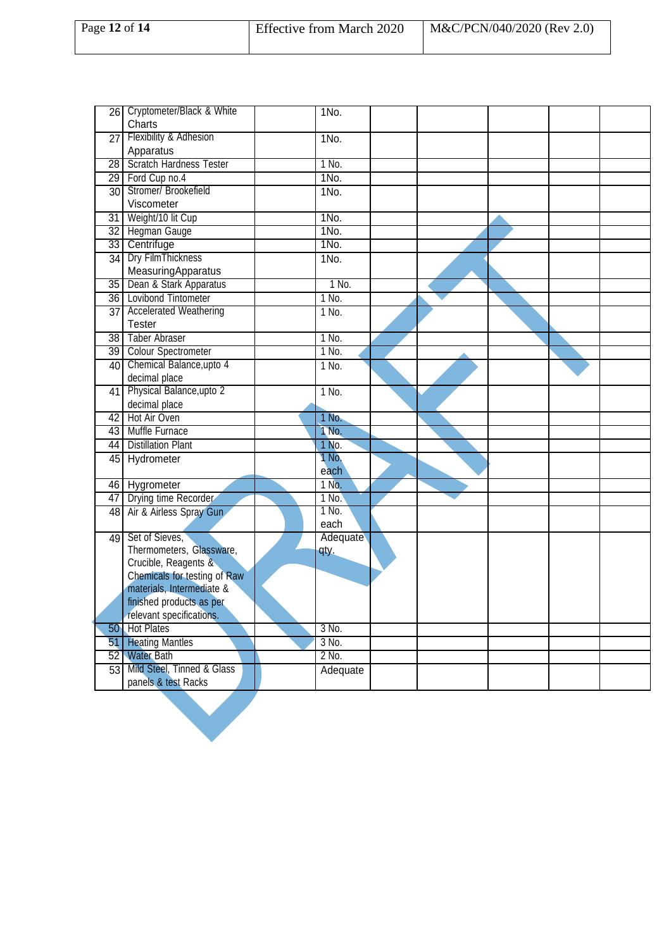|    | 26 Cryptometer/Black & White              | $1N0$ .  |  |  |  |
|----|-------------------------------------------|----------|--|--|--|
|    | Charts                                    |          |  |  |  |
|    | 27 Flexibility & Adhesion                 | $1N0$ .  |  |  |  |
|    | Apparatus                                 |          |  |  |  |
| 28 | <b>Scratch Hardness Tester</b>            | 1 No.    |  |  |  |
|    | 29 Ford Cup no.4                          | 1No.     |  |  |  |
|    | 30 Stromer/ Brookefield                   | 1No.     |  |  |  |
|    | Viscometer                                |          |  |  |  |
|    | 31 Weight/10 lit Cup                      | 1No.     |  |  |  |
|    | 32 Hegman Gauge                           | 1No.     |  |  |  |
|    | 33 Centrifuge                             | 1No.     |  |  |  |
| 34 | Dry FilmThickness                         | 1No.     |  |  |  |
|    | MeasuringApparatus                        |          |  |  |  |
|    | 35 Dean & Stark Apparatus                 | 1 No.    |  |  |  |
|    | 36 Lovibond Tintometer                    | 1 No.    |  |  |  |
|    | 37 Accelerated Weathering                 | 1 No.    |  |  |  |
|    | <b>Tester</b>                             |          |  |  |  |
|    | 38 Taber Abraser                          | 1 No.    |  |  |  |
|    | 39 Colour Spectrometer                    | 1 No.    |  |  |  |
|    | 40 Chemical Balance, upto 4               | 1 No.    |  |  |  |
|    | decimal place                             |          |  |  |  |
| 41 | Physical Balance, upto 2                  | $1$ No.  |  |  |  |
|    | decimal place                             |          |  |  |  |
| 42 | Hot Air Oven                              | 1 No.    |  |  |  |
|    | 43 Muffle Furnace                         | 1 No.    |  |  |  |
|    | 44 Distillation Plant                     | 1 No.    |  |  |  |
|    | 45 Hydrometer                             | 1 No.    |  |  |  |
|    |                                           | each     |  |  |  |
|    | 46 Hygrometer                             | 1 No.    |  |  |  |
|    | 47 Drying time Recorder                   | $1$ No.  |  |  |  |
|    | 48 Air & Airless Spray Gun                | 1 No.    |  |  |  |
|    |                                           | each     |  |  |  |
| 49 | Set of Sieves.                            | Adequate |  |  |  |
|    | Thermometers, Glassware,                  | qty.     |  |  |  |
|    | Crucible, Reagents &                      |          |  |  |  |
|    | Chemicals for testing of Raw              |          |  |  |  |
|    | materials, Intermediate &                 |          |  |  |  |
|    | finished products as per                  |          |  |  |  |
|    | relevant specifications.<br>50 Hot Plates | $3$ No.  |  |  |  |
|    |                                           |          |  |  |  |
| 51 | <b>Heating Mantles</b>                    | 3 No.    |  |  |  |
|    | 52 Water Bath                             | 2 No.    |  |  |  |
|    | 53 Mild Steel, Tinned & Glass             | Adequate |  |  |  |
|    | panels & test Racks                       |          |  |  |  |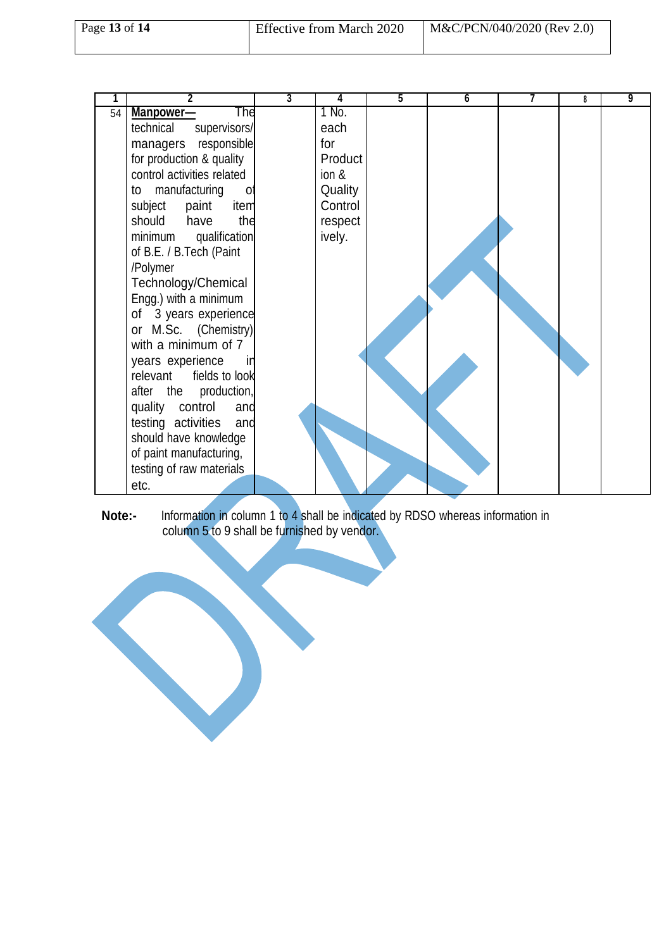|    | 2                                 | $\overline{3}$ | 4       | 5 | $6\overline{6}$ | 8 | 9 |
|----|-----------------------------------|----------------|---------|---|-----------------|---|---|
| 54 | The<br>Manpower-                  |                | 1 No.   |   |                 |   |   |
|    | technical<br>supervisors/         |                | each    |   |                 |   |   |
|    | responsible<br>managers           |                | for     |   |                 |   |   |
|    | for production & quality          |                | Product |   |                 |   |   |
|    | control activities related        |                | ion &   |   |                 |   |   |
|    | manufacturing<br>to<br>0          |                | Quality |   |                 |   |   |
|    | subject<br>paint<br>item          |                | Control |   |                 |   |   |
|    | should<br>have<br>the             |                | respect |   |                 |   |   |
|    | minimum qualification             |                | ively.  |   |                 |   |   |
|    | of B.E. / B.Tech (Paint           |                |         |   |                 |   |   |
|    | /Polymer                          |                |         |   |                 |   |   |
|    | Technology/Chemical               |                |         |   |                 |   |   |
|    | Engg.) with a minimum             |                |         |   |                 |   |   |
|    | of 3 years experience             |                |         |   |                 |   |   |
|    | M.Sc. (Chemistry)<br>or           |                |         |   |                 |   |   |
|    | with a minimum of 7               |                |         |   |                 |   |   |
|    | years experience<br><sub>In</sub> |                |         |   |                 |   |   |
|    | fields to look<br>relevant        |                |         |   |                 |   |   |
|    | production,<br>after the          |                |         |   |                 |   |   |
|    | quality<br>control<br>and         |                |         |   |                 |   |   |
|    | testing activities<br>and         |                |         |   |                 |   |   |
|    | should have knowledge             |                |         |   |                 |   |   |
|    | of paint manufacturing,           |                |         |   |                 |   |   |
|    | testing of raw materials          |                |         |   |                 |   |   |
|    | etc.                              |                |         |   |                 |   |   |

**Note:-** Information in column 1 to 4 shall be indicated by RDSO whereas information in column 5 to 9 shall be furnished by vendor.